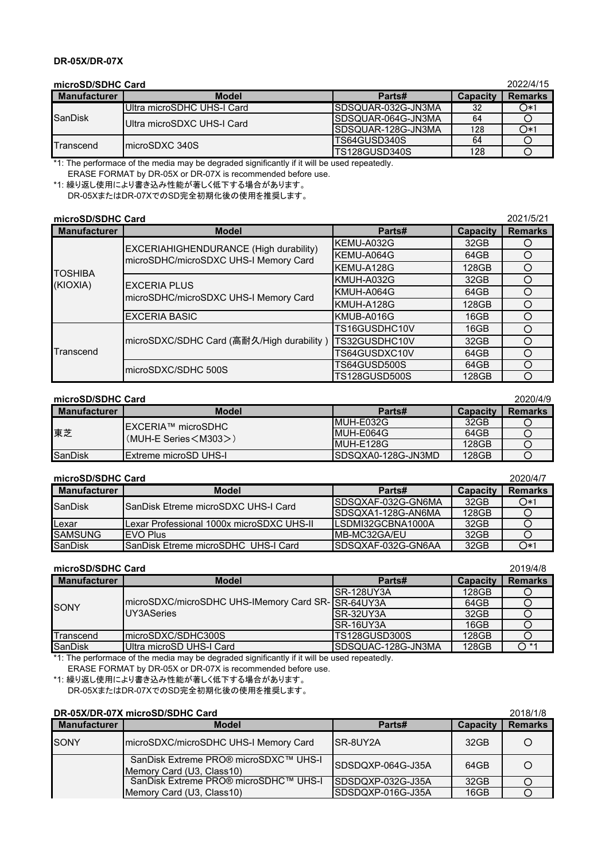# **DR-05X/DR-07X**

| microSD/SDHC Card   |                            |                     |                 | 2022/4/15      |
|---------------------|----------------------------|---------------------|-----------------|----------------|
| <b>Manufacturer</b> | <b>Model</b>               | Parts#              | <b>Capacity</b> | <b>Remarks</b> |
| SanDisk             | Ultra microSDHC UHS-I Card | ISDSQUAR-032G-JN3MA | 32              | $O*1$          |
|                     | Ultra microSDXC UHS-I Card | ISDSQUAR-064G-JN3MA | 64              |                |
|                     |                            | ISDSQUAR-128G-JN3MA | 128             | $O*1$          |
| Transcend           | ImicroSDXC 340S            | TS64GUSD340S<br>64  |                 |                |
|                     |                            | TS128GUSD340S       | 128             |                |

\*1: The performace of the media may be degraded significantly if it will be used repeatedly. ERASE FORMAT by DR-05X or DR-07X is recommended before use.

\*1: 繰り返し使用により書き込み性能が著しく低下する場合があります。 DR-05XまたはDR-07XでのSD完全初期化後の使用を推奨します。

| microSD/SDHC Card   |                                                                                 |               |                 | 2021/5/21      |
|---------------------|---------------------------------------------------------------------------------|---------------|-----------------|----------------|
| <b>Manufacturer</b> | <b>Model</b>                                                                    | Parts#        | <b>Capacity</b> | <b>Remarks</b> |
|                     | EXCERIAHIGHENDURANCE (High durability)<br>microSDHC/microSDXC UHS-I Memory Card | KEMU-A032G    | 32GB            |                |
|                     |                                                                                 | KEMU-A064G    | 64GB            |                |
| <b>TOSHIBA</b>      |                                                                                 | KEMU-A128G    | 128GB           |                |
| (KIOXIA)            | <b>EXCERIA PLUS</b><br>microSDHC/microSDXC UHS-I Memory Card                    | KMUH-A032G    | 32GB            |                |
|                     |                                                                                 | KMUH-A064G    | 64GB            |                |
|                     |                                                                                 | KMUH-A128G    | 128GB           |                |
|                     | <b>EXCERIA BASIC</b>                                                            | KMUB-A016G    | 16GB            |                |
| Transcend           | microSDXC/SDHC Card (高耐久/High durability)                                       | TS16GUSDHC10V | 16GB            |                |
|                     |                                                                                 | TS32GUSDHC10V | 32GB            |                |
|                     |                                                                                 | FS64GUSDXC10V | 64GB            |                |
|                     | microSDXC/SDHC 500S                                                             | FS64GUSD500S  | 64GB            |                |
|                     |                                                                                 | TS128GUSD500S | 128GB           |                |

### **microSD/SDHC Card** 2020/4/9

| ------              |                                                                      |                     |                 |                |
|---------------------|----------------------------------------------------------------------|---------------------|-----------------|----------------|
| <b>Manufacturer</b> | <b>Model</b>                                                         | Parts#              | <b>Capacity</b> | <b>Remarks</b> |
| 東芝                  | <b>IEXCERIA™ microSDHC</b><br>$(MUH-E$ Series $\langle M303 \rangle$ | IMUH-E032G          | 32GB            |                |
|                     |                                                                      | IMUH-E064G          | 64GB            |                |
|                     |                                                                      | IMUH-F128G          | 128GB           |                |
| SanDisk             | <b>IExtreme microSD UHS-I</b>                                        | ISDSQXA0-128G-JN3MD | 128GB           |                |

## **microSD/SDHC Card** 2020/4/7

| <b>Manufacturer</b> | <b>Model</b>                               | Parts#              | <b>Capacity</b> | <b>Remarks</b> |
|---------------------|--------------------------------------------|---------------------|-----------------|----------------|
| SanDisk             | ISanDisk Etreme microSDXC UHS-I Card       | ISDSQXAF-032G-GN6MA | 32GB            | $O*1$          |
|                     |                                            | ISDSQXA1-128G-AN6MA | 128GB           |                |
| <b>ILexar</b>       | ILexar Professional 1000x microSDXC UHS-II | ILSDMI32GCBNA1000A  | 32GB            |                |
| <b>SAMSUNG</b>      | <b>IFVO Plus</b>                           | IMB-MC32GA/FU       | 32GB            |                |
| <b>SanDisk</b>      | ISanDisk Etreme microSDHC UHS-I Card       | ISDSQXAF-032G-GN6AA | 32GB            | $O*1$          |

#### **microSD/SDHC Card** 2019/4/8

| <b>Manufacturer</b> | <b>Model</b>                                                    | Parts#               | <b>Capacity</b> | <b>Remarks</b> |
|---------------------|-----------------------------------------------------------------|----------------------|-----------------|----------------|
| SONY                |                                                                 | ISR-128UY3A          | 128GB           |                |
|                     | microSDXC/microSDHC UHS-IMemory Card SR-SR-64UY3A<br>UY3ASeries |                      | 64GB            |                |
|                     |                                                                 | ISR-32UY3A           | 32GB            |                |
|                     |                                                                 | ISR-16UY3A           | 16GB            |                |
| Transcend           | ImicroSDXC/SDHC300S                                             | <b>TS128GUSD300S</b> | 128GB           |                |
| <b>SanDisk</b>      | Ultra microSD UHS-I Card                                        | ISDSQUAC-128G-JN3MA  | 128GB           | $\bigcap$ *1   |

\*1: The performace of the media may be degraded significantly if it will be used repeatedly. ERASE FORMAT by DR-05X or DR-07X is recommended before use.

\*1: 繰り返し使用により書き込み性能が著しく低下する場合があります。

DR-05XまたはDR-07XでのSD完全初期化後の使用を推奨します。

| DR-05X/DR-07X microSD/SDHC Card |  | 2018/1/8 |
|---------------------------------|--|----------|
|                                 |  |          |

| PR VONDR VIA MIDIODIODI V VUIU |                                                                    |                    |                  | ----           |
|--------------------------------|--------------------------------------------------------------------|--------------------|------------------|----------------|
| <b>Manufacturer</b>            | <b>Model</b>                                                       | Parts#             | <b>Capacity</b>  | <b>Remarks</b> |
| <b>ISONY</b>                   | microSDXC/microSDHC UHS-I Memory Card                              | ISR-8UY2A          | 32 <sub>GB</sub> |                |
|                                | SanDisk Extreme PRO® microSDXC™ UHS-I<br>Memory Card (U3, Class10) | SDSDQXP-064G-J35A  | 64GB             |                |
|                                | SanDisk Extreme PRO® microSDHC™ UHS-I                              | ISDSDQXP-032G-J35A | 32GB             |                |
|                                | Memory Card (U3, Class10)                                          | ISDSDQXP-016G-J35A | 16GB             |                |